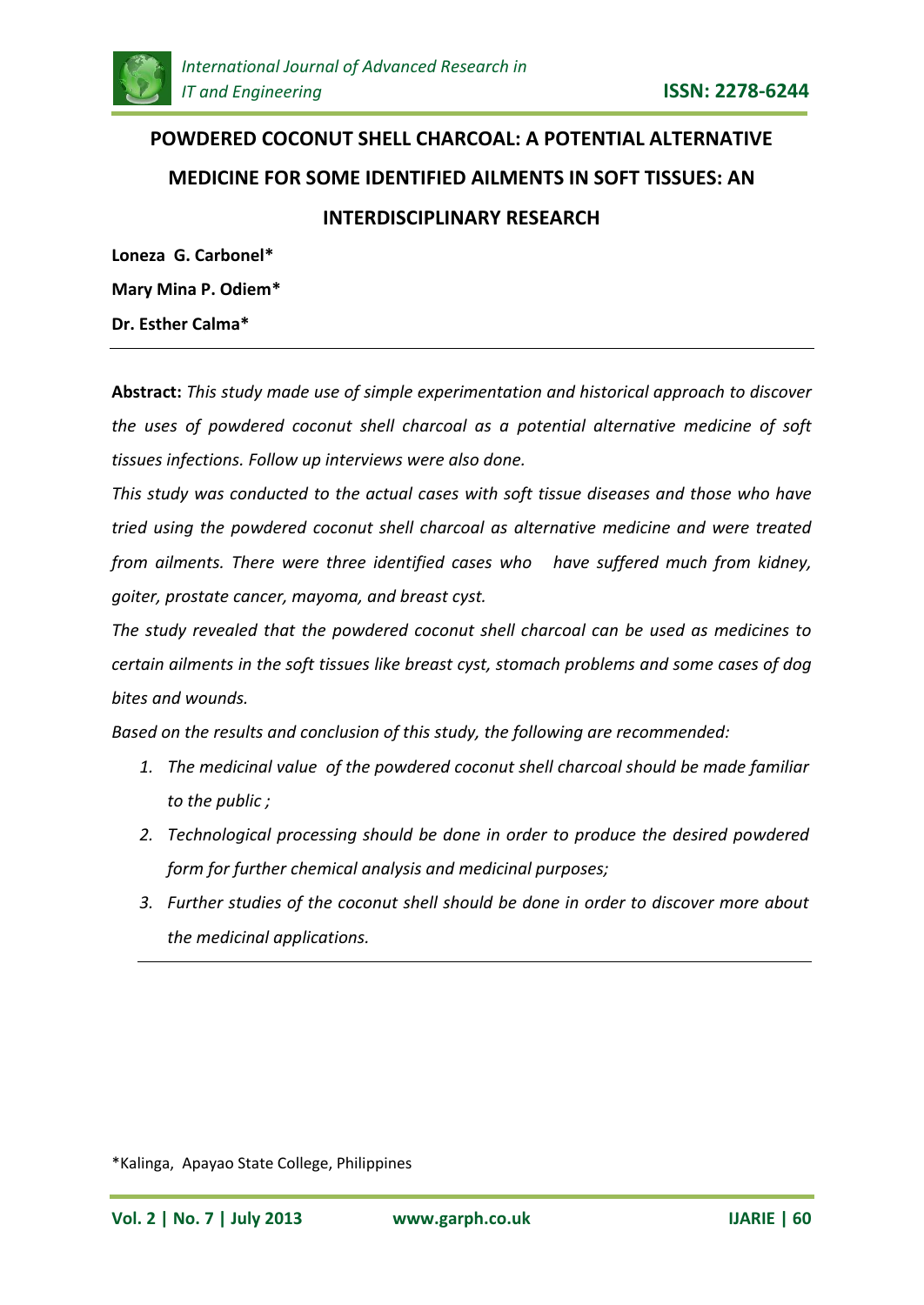

# **POWDERED COCONUT SHELL CHARCOAL: A POTENTIAL ALTERNATIVE MEDICINE FOR SOME IDENTIFIED AILMENTS IN SOFT TISSUES: AN INTERDISCIPLINARY RESEARCH**

**Loneza G. Carbonel\* Mary Mina P. Odiem\* Dr. Esther Calma\***

**Abstract:** *This study made use of simple experimentation and historical approach to discover the uses of powdered coconut shell charcoal as a potential alternative medicine of soft tissues infections. Follow up interviews were also done.*

*This study was conducted to the actual cases with soft tissue diseases and those who have tried using the powdered coconut shell charcoal as alternative medicine and were treated from ailments. There were three identified cases who have suffered much from kidney, goiter, prostate cancer, mayoma, and breast cyst.*

*The study revealed that the powdered coconut shell charcoal can be used as medicines to certain ailments in the soft tissues like breast cyst, stomach problems and some cases of dog bites and wounds.*

*Based on the results and conclusion of this study, the following are recommended:*

- *1. The medicinal value of the powdered coconut shell charcoal should be made familiar to the public ;*
- *2. Technological processing should be done in order to produce the desired powdered form for further chemical analysis and medicinal purposes;*
- *3. Further studies of the coconut shell should be done in order to discover more about the medicinal applications.*

\*Kalinga, Apayao State College, Philippines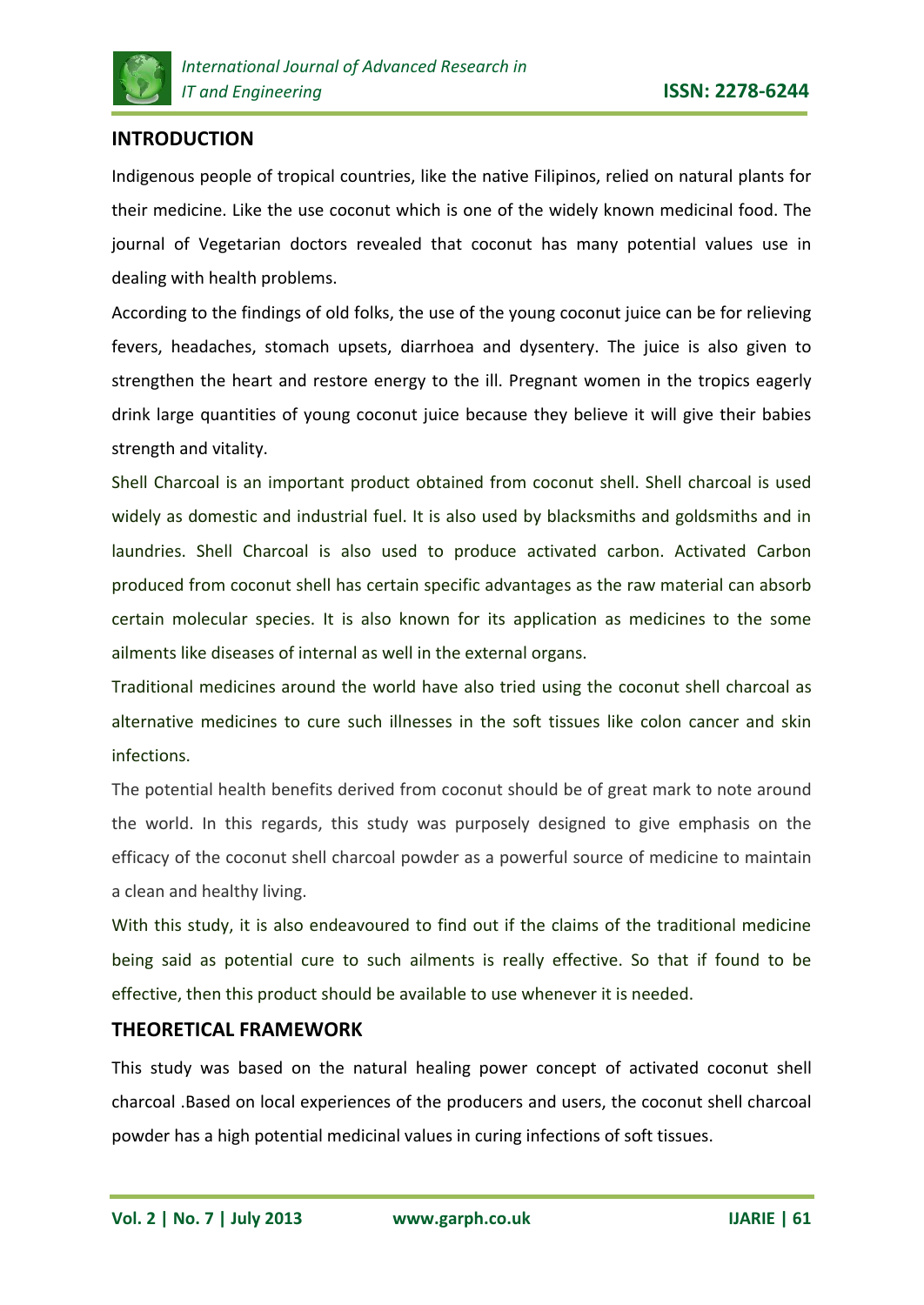

# **INTRODUCTION**

Indigenous people of tropical countries, like the native Filipinos, relied on natural plants for their medicine. Like the use coconut which is one of the widely known medicinal food. The journal of Vegetarian doctors revealed that coconut has many potential values use in dealing with health problems.

According to the findings of old folks, the use of the young coconut juice can be for relieving fevers, headaches, stomach upsets, diarrhoea and dysentery. The juice is also given to strengthen the heart and restore energy to the ill. Pregnant women in the tropics eagerly drink large quantities of young coconut juice because they believe it will give their babies strength and vitality.

Shell Charcoal is an important product obtained from coconut shell. Shell charcoal is used widely as domestic and industrial fuel. It is also used by blacksmiths and goldsmiths and in laundries. Shell Charcoal is also used to produce activated carbon. Activated Carbon produced from coconut shell has certain specific advantages as the raw material can absorb certain molecular species. It is also known for its application as medicines to the some ailments like diseases of internal as well in the external organs.

Traditional medicines around the world have also tried using the coconut shell charcoal as alternative medicines to cure such illnesses in the soft tissues like colon cancer and skin infections.

The potential health benefits derived from coconut should be of great mark to note around the world. In this regards, this study was purposely designed to give emphasis on the efficacy of the coconut shell charcoal powder as a powerful source of medicine to maintain a clean and healthy living.

With this study, it is also endeavoured to find out if the claims of the traditional medicine being said as potential cure to such ailments is really effective. So that if found to be effective, then this product should be available to use whenever it is needed.

## **THEORETICAL FRAMEWORK**

This study was based on the natural healing power concept of activated coconut shell charcoal .Based on local experiences of the producers and users, the coconut shell charcoal powder has a high potential medicinal values in curing infections of soft tissues.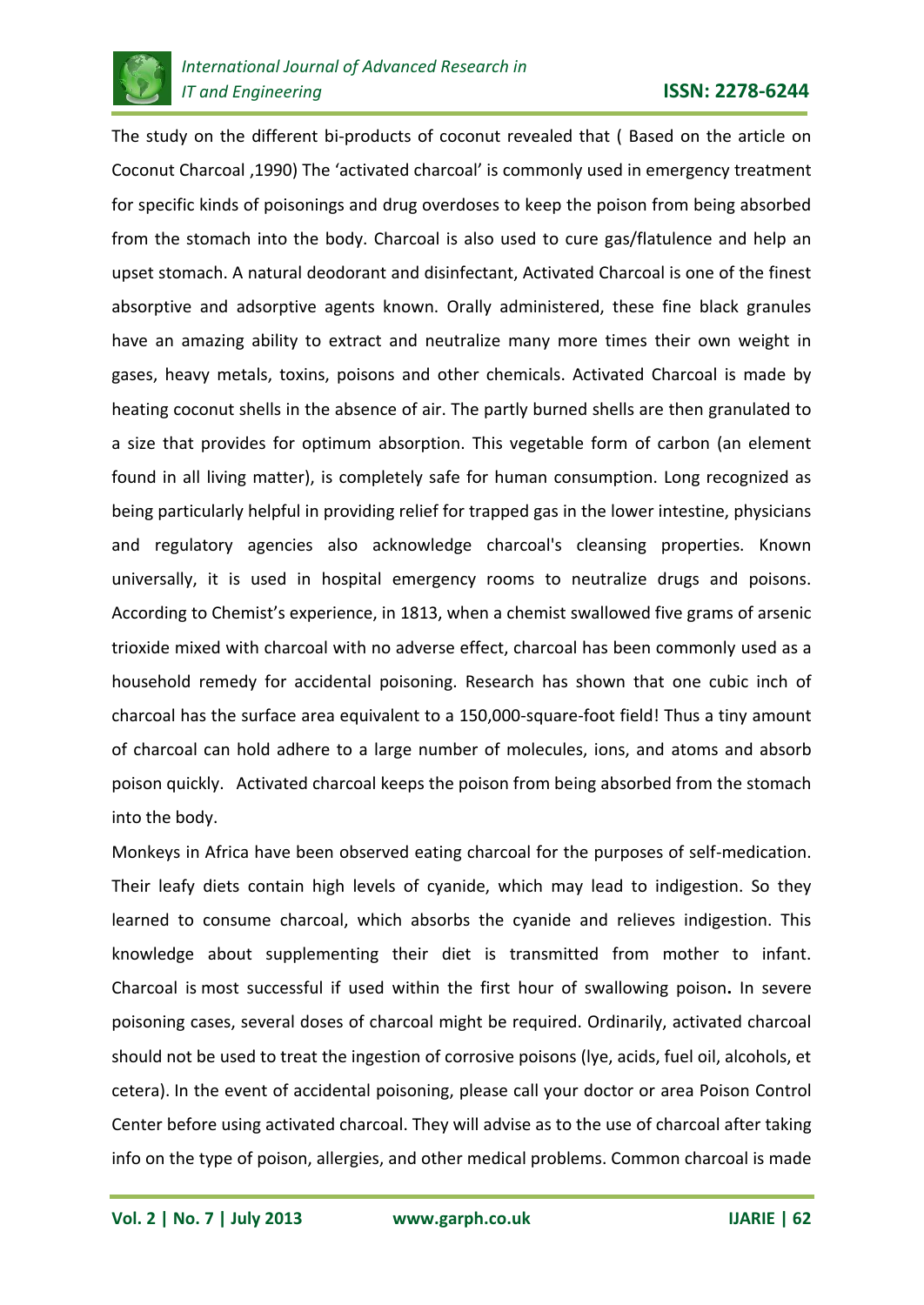

The study on the different bi-products of coconut revealed that ( Based on the article on Coconut Charcoal ,1990) The 'activated charcoal' is commonly used in emergency treatment for specific kinds of poisonings and drug overdoses to keep the poison from being absorbed from the stomach into the body. Charcoal is also used to cure gas/flatulence and help an upset stomach. A natural deodorant and disinfectant, Activated Charcoal is one of the finest absorptive and adsorptive agents known. Orally administered, these fine black granules have an amazing ability to extract and neutralize many more times their own weight in gases, heavy metals, toxins, poisons and other chemicals. Activated Charcoal is made by heating coconut shells in the absence of air. The partly burned shells are then granulated to a size that provides for optimum absorption. This vegetable form of carbon (an element found in all living matter), is completely safe for human consumption. Long recognized as being particularly helpful in providing relief for trapped gas in the lower intestine, physicians and regulatory agencies also acknowledge charcoal's cleansing properties. Known universally, it is used in hospital emergency rooms to neutralize drugs and poisons. According to Chemist's experience, in 1813, when a chemist swallowed five grams of arsenic trioxide mixed with charcoal with no adverse effect, charcoal has been commonly used as a household remedy for accidental poisoning. Research has shown that one cubic inch of charcoal has the surface area equivalent to a 150,000-square-foot field! Thus a tiny amount of charcoal can hold adhere to a large number of molecules, ions, and atoms and absorb poison quickly. Activated charcoal keeps the poison from being absorbed from the stomach into the body.

Monkeys in Africa have been observed eating charcoal for the purposes of self-medication. Their leafy diets contain high levels of cyanide, which may lead to indigestion. So they learned to consume charcoal, which absorbs the cyanide and relieves indigestion. This knowledge about supplementing their diet is transmitted from mother to infant. Charcoal is most successful if used within the first hour of swallowing poison**.** In severe poisoning cases, several doses of charcoal might be required. Ordinarily, activated charcoal should not be used to treat the ingestion of corrosive poisons (lye, acids, fuel oil, alcohols, et cetera). In the event of accidental poisoning, please call your doctor or area Poison Control Center before using activated charcoal. They will advise as to the use of charcoal after taking info on the type of poison, allergies, and other medical problems. Common charcoal is made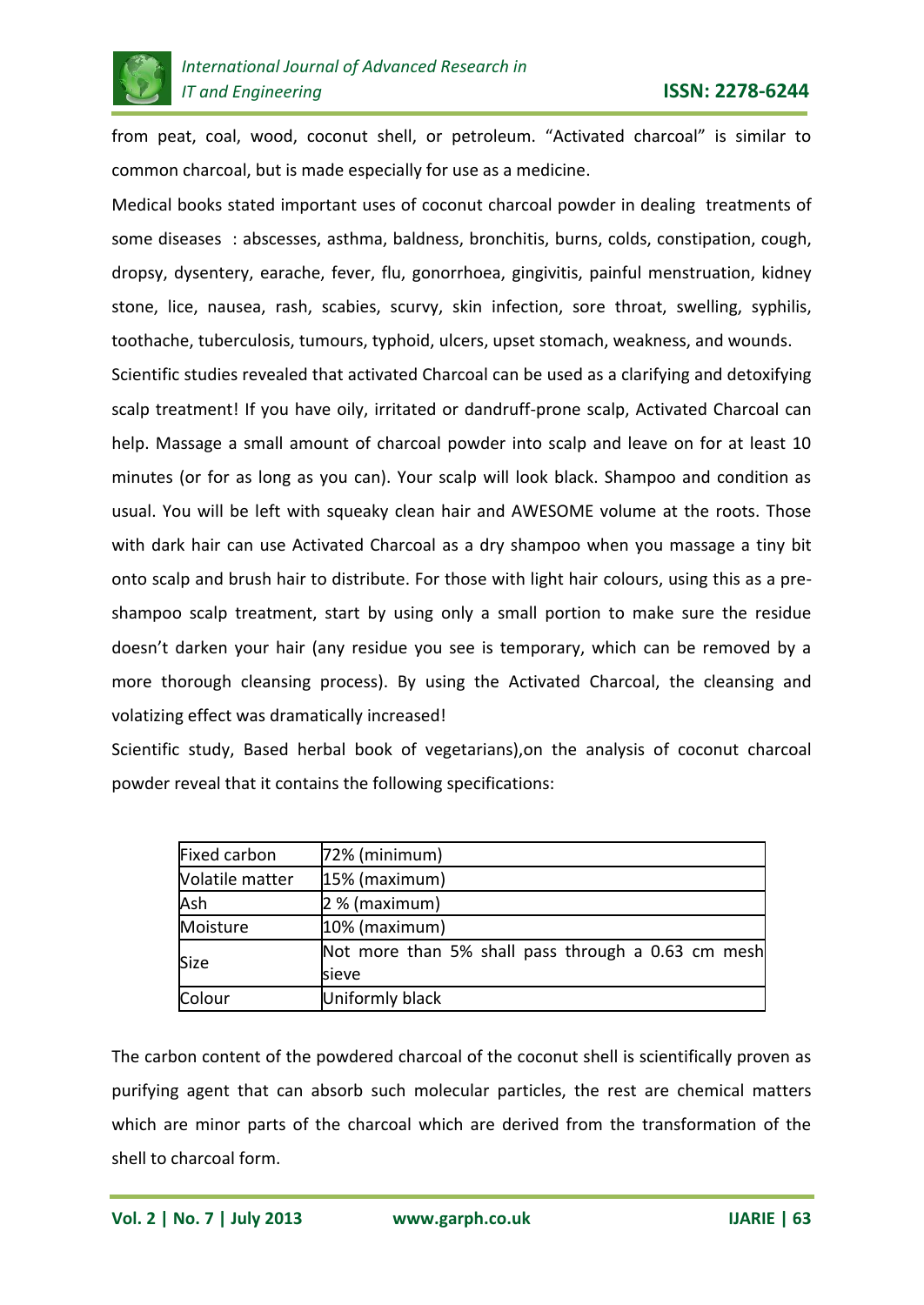

from peat, coal, wood, coconut shell, or petroleum. "Activated charcoal" is similar to common charcoal, but is made especially for use as a medicine.

Medical books stated important uses of coconut charcoal powder in dealing treatments of some diseases : abscesses, asthma, baldness, bronchitis, burns, colds, constipation, cough, dropsy, dysentery, earache, fever, flu, gonorrhoea, gingivitis, painful menstruation, kidney stone, lice, nausea, rash, scabies, scurvy, skin infection, sore throat, swelling, syphilis, toothache, tuberculosis, tumours, typhoid, ulcers, upset stomach, weakness, and wounds.

Scientific studies revealed that activated Charcoal can be used as a clarifying and detoxifying scalp treatment! If you have oily, irritated or dandruff-prone scalp, Activated Charcoal can help. Massage a small amount of charcoal powder into scalp and leave on for at least 10 minutes (or for as long as you can). Your scalp will look black. Shampoo and condition as usual. You will be left with squeaky clean hair and AWESOME volume at the roots. Those with dark hair can use Activated Charcoal as a dry shampoo when you massage a tiny bit onto scalp and brush hair to distribute. For those with light hair colours, using this as a preshampoo scalp treatment, start by using only a small portion to make sure the residue doesn't darken your hair (any residue you see is temporary, which can be removed by a more thorough cleansing process). By using the Activated Charcoal, the cleansing and volatizing effect was dramatically increased!

Scientific study, Based herbal book of vegetarians),on the analysis of coconut charcoal powder reveal that it contains the following specifications:

| <b>Fixed carbon</b> | $72%$ (minimum)                                    |  |  |  |
|---------------------|----------------------------------------------------|--|--|--|
| Volatile matter     | 15% (maximum)                                      |  |  |  |
| Ash                 | 2 % (maximum)                                      |  |  |  |
| Moisture            | 10% (maximum)                                      |  |  |  |
| <b>Size</b>         | Not more than 5% shall pass through a 0.63 cm mesh |  |  |  |
|                     | sieve                                              |  |  |  |
| Colour              | Uniformly black                                    |  |  |  |

The carbon content of the powdered charcoal of the coconut shell is scientifically proven as purifying agent that can absorb such molecular particles, the rest are chemical matters which are minor parts of the charcoal which are derived from the transformation of the shell to charcoal form.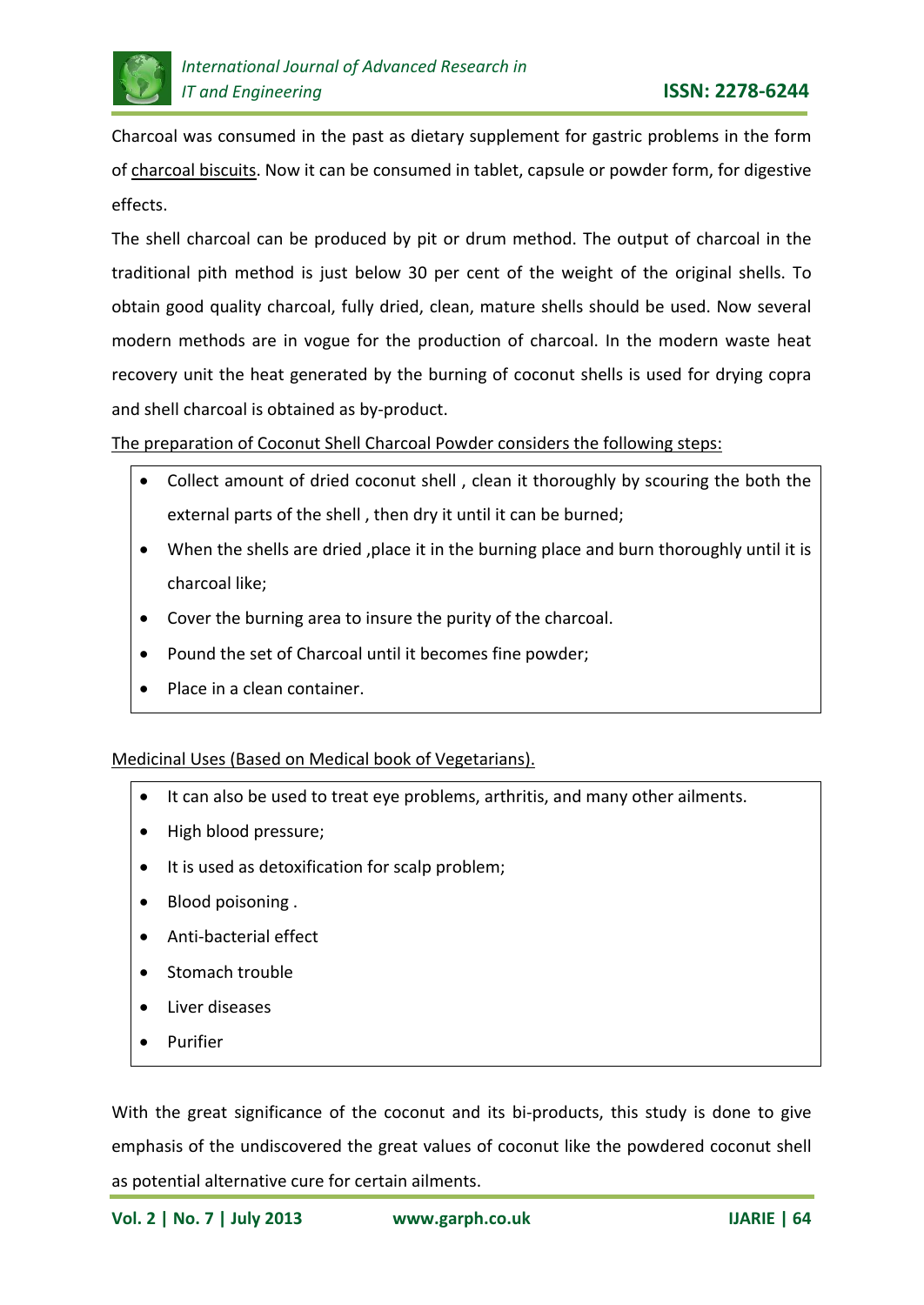

Charcoal was consumed in the past as dietary supplement for gastric problems in the form of charcoal biscuits. Now it can be consumed in tablet, capsule or powder form, for digestive effects.

The shell charcoal can be produced by pit or drum method. The output of charcoal in the traditional pith method is just below 30 per cent of the weight of the original shells. To obtain good quality charcoal, fully dried, clean, mature shells should be used. Now several modern methods are in vogue for the production of charcoal. In the modern waste heat recovery unit the heat generated by the burning of coconut shells is used for drying copra and shell charcoal is obtained as by-product.

## The preparation of Coconut Shell Charcoal Powder considers the following steps:

- Collect amount of dried coconut shell , clean it thoroughly by scouring the both the external parts of the shell , then dry it until it can be burned;
- When the shells are dried ,place it in the burning place and burn thoroughly until it is charcoal like;
- Cover the burning area to insure the purity of the charcoal.
- Pound the set of Charcoal until it becomes fine powder;
- Place in a clean container.

## Medicinal Uses (Based on Medical book of Vegetarians).

- It can also be used to treat eye problems, arthritis, and many other ailments.
- High blood pressure;
- It is used as detoxification for scalp problem;
- Blood poisoning .
- Anti-bacterial effect
- Stomach trouble
- Liver diseases
- Purifier

With the great significance of the coconut and its bi-products, this study is done to give emphasis of the undiscovered the great values of coconut like the powdered coconut shell as potential alternative cure for certain ailments.

**Vol. 2 | No. 7 | July 2013 www.garph.co.uk IJARIE | 64**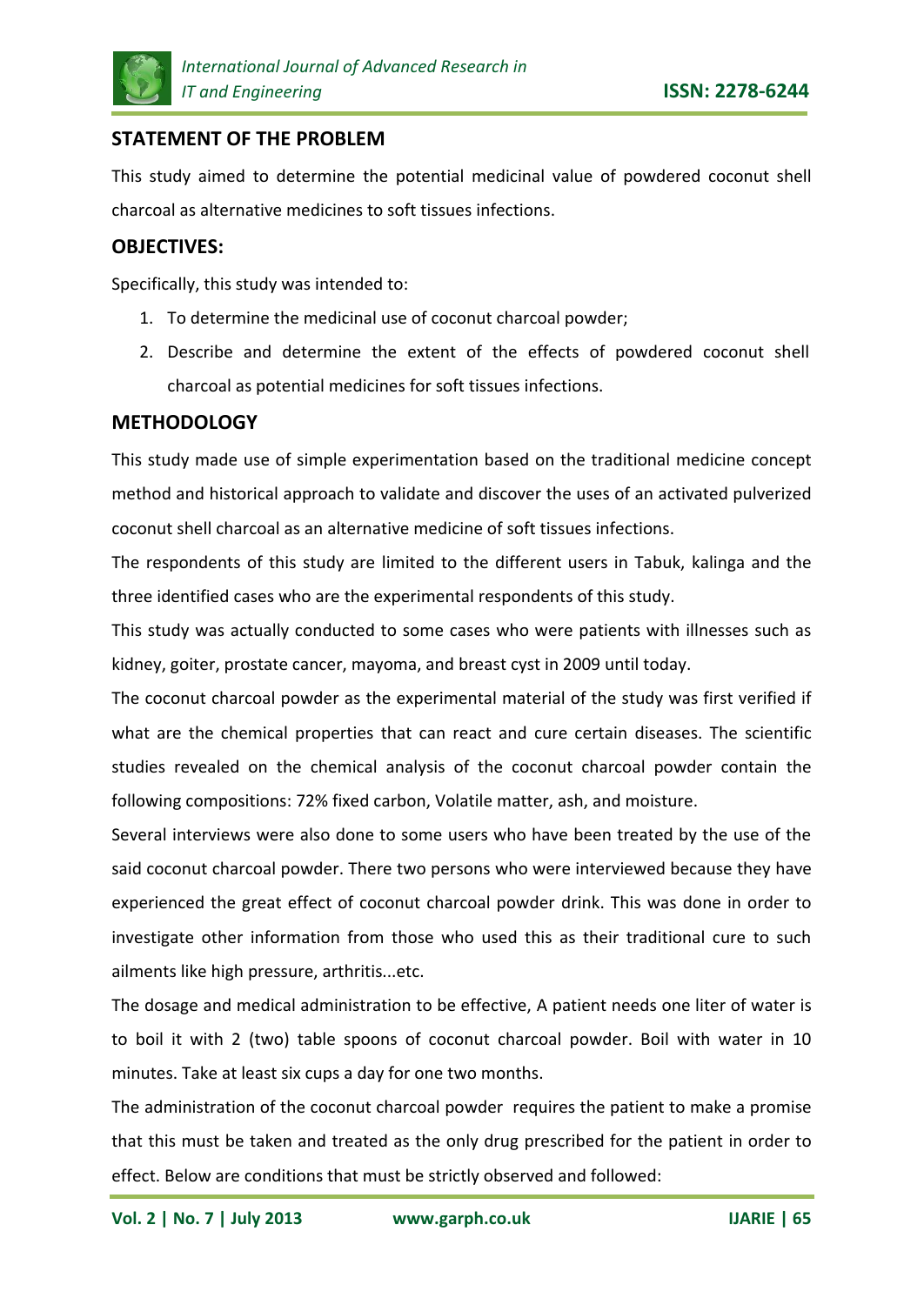

# **STATEMENT OF THE PROBLEM**

This study aimed to determine the potential medicinal value of powdered coconut shell charcoal as alternative medicines to soft tissues infections.

### **OBJECTIVES:**

Specifically, this study was intended to:

- 1. To determine the medicinal use of coconut charcoal powder;
- 2. Describe and determine the extent of the effects of powdered coconut shell charcoal as potential medicines for soft tissues infections.

#### **METHODOLOGY**

This study made use of simple experimentation based on the traditional medicine concept method and historical approach to validate and discover the uses of an activated pulverized coconut shell charcoal as an alternative medicine of soft tissues infections.

The respondents of this study are limited to the different users in Tabuk, kalinga and the three identified cases who are the experimental respondents of this study.

This study was actually conducted to some cases who were patients with illnesses such as kidney, goiter, prostate cancer, mayoma, and breast cyst in 2009 until today.

The coconut charcoal powder as the experimental material of the study was first verified if what are the chemical properties that can react and cure certain diseases. The scientific studies revealed on the chemical analysis of the coconut charcoal powder contain the following compositions: 72% fixed carbon, Volatile matter, ash, and moisture.

Several interviews were also done to some users who have been treated by the use of the said coconut charcoal powder. There two persons who were interviewed because they have experienced the great effect of coconut charcoal powder drink. This was done in order to investigate other information from those who used this as their traditional cure to such ailments like high pressure, arthritis...etc.

The dosage and medical administration to be effective, A patient needs one liter of water is to boil it with 2 (two) table spoons of coconut charcoal powder. Boil with water in 10 minutes. Take at least six cups a day for one two months.

The administration of the coconut charcoal powder requires the patient to make a promise that this must be taken and treated as the only drug prescribed for the patient in order to effect. Below are conditions that must be strictly observed and followed: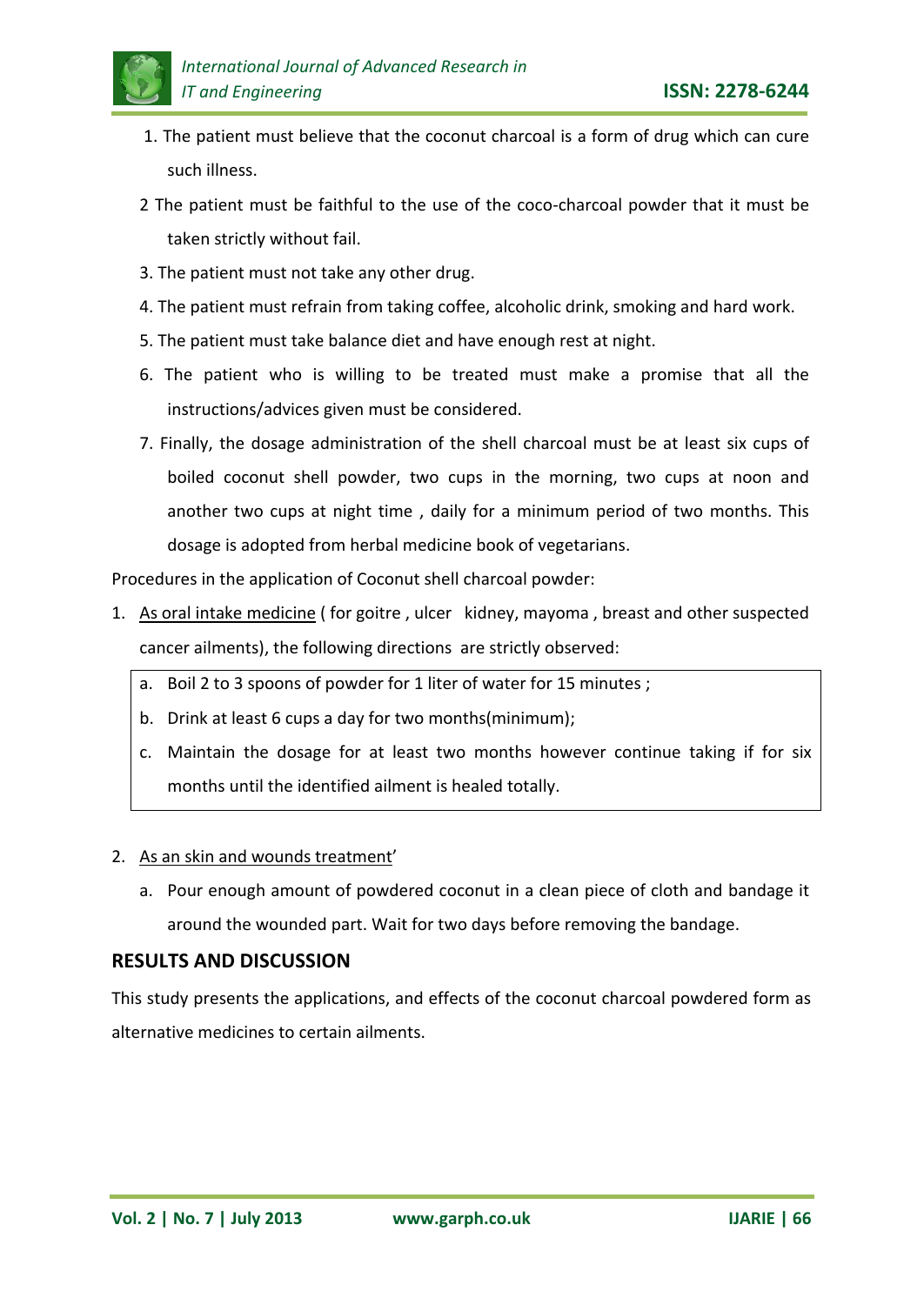

- 1. The patient must believe that the coconut charcoal is a form of drug which can cure such illness.
- 2 The patient must be faithful to the use of the coco-charcoal powder that it must be taken strictly without fail.
- 3. The patient must not take any other drug.
- 4. The patient must refrain from taking coffee, alcoholic drink, smoking and hard work.
- 5. The patient must take balance diet and have enough rest at night.
- 6. The patient who is willing to be treated must make a promise that all the instructions/advices given must be considered.
- 7. Finally, the dosage administration of the shell charcoal must be at least six cups of boiled coconut shell powder, two cups in the morning, two cups at noon and another two cups at night time , daily for a minimum period of two months. This dosage is adopted from herbal medicine book of vegetarians.

Procedures in the application of Coconut shell charcoal powder:

- 1. As oral intake medicine ( for goitre , ulcer kidney, mayoma , breast and other suspected cancer ailments), the following directions are strictly observed:
	- a. Boil 2 to 3 spoons of powder for 1 liter of water for 15 minutes ;
	- b. Drink at least 6 cups a day for two months(minimum);
	- c. Maintain the dosage for at least two months however continue taking if for six months until the identified ailment is healed totally.

#### 2. As an skin and wounds treatment'

a. Pour enough amount of powdered coconut in a clean piece of cloth and bandage it around the wounded part. Wait for two days before removing the bandage.

## **RESULTS AND DISCUSSION**

This study presents the applications, and effects of the coconut charcoal powdered form as alternative medicines to certain ailments.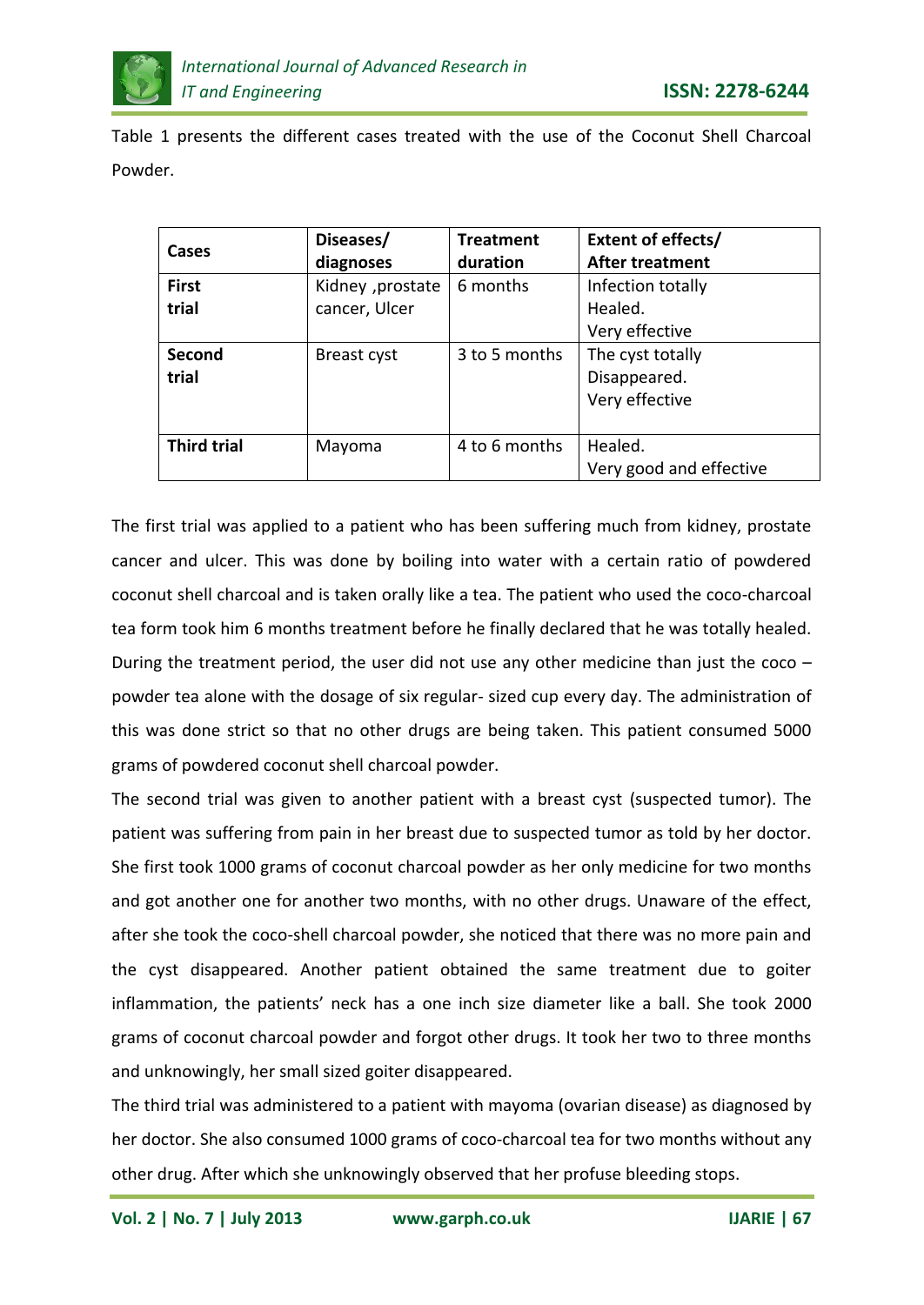

Table 1 presents the different cases treated with the use of the Coconut Shell Charcoal Powder.

| <b>Cases</b>       | Diseases/         | <b>Treatment</b> | Extent of effects/      |
|--------------------|-------------------|------------------|-------------------------|
|                    | diagnoses         | duration         | After treatment         |
| <b>First</b>       | Kidney , prostate | 6 months         | Infection totally       |
| trial              | cancer, Ulcer     |                  | Healed.                 |
|                    |                   |                  | Very effective          |
| Second             | Breast cyst       | 3 to 5 months    | The cyst totally        |
| trial              |                   |                  | Disappeared.            |
|                    |                   |                  | Very effective          |
|                    |                   |                  |                         |
| <b>Third trial</b> | Mayoma            | 4 to 6 months    | Healed.                 |
|                    |                   |                  | Very good and effective |

The first trial was applied to a patient who has been suffering much from kidney, prostate cancer and ulcer. This was done by boiling into water with a certain ratio of powdered coconut shell charcoal and is taken orally like a tea. The patient who used the coco-charcoal tea form took him 6 months treatment before he finally declared that he was totally healed. During the treatment period, the user did not use any other medicine than just the coco powder tea alone with the dosage of six regular- sized cup every day. The administration of this was done strict so that no other drugs are being taken. This patient consumed 5000 grams of powdered coconut shell charcoal powder.

The second trial was given to another patient with a breast cyst (suspected tumor). The patient was suffering from pain in her breast due to suspected tumor as told by her doctor. She first took 1000 grams of coconut charcoal powder as her only medicine for two months and got another one for another two months, with no other drugs. Unaware of the effect, after she took the coco-shell charcoal powder, she noticed that there was no more pain and the cyst disappeared. Another patient obtained the same treatment due to goiter inflammation, the patients' neck has a one inch size diameter like a ball. She took 2000 grams of coconut charcoal powder and forgot other drugs. It took her two to three months and unknowingly, her small sized goiter disappeared.

The third trial was administered to a patient with mayoma (ovarian disease) as diagnosed by her doctor. She also consumed 1000 grams of coco-charcoal tea for two months without any other drug. After which she unknowingly observed that her profuse bleeding stops.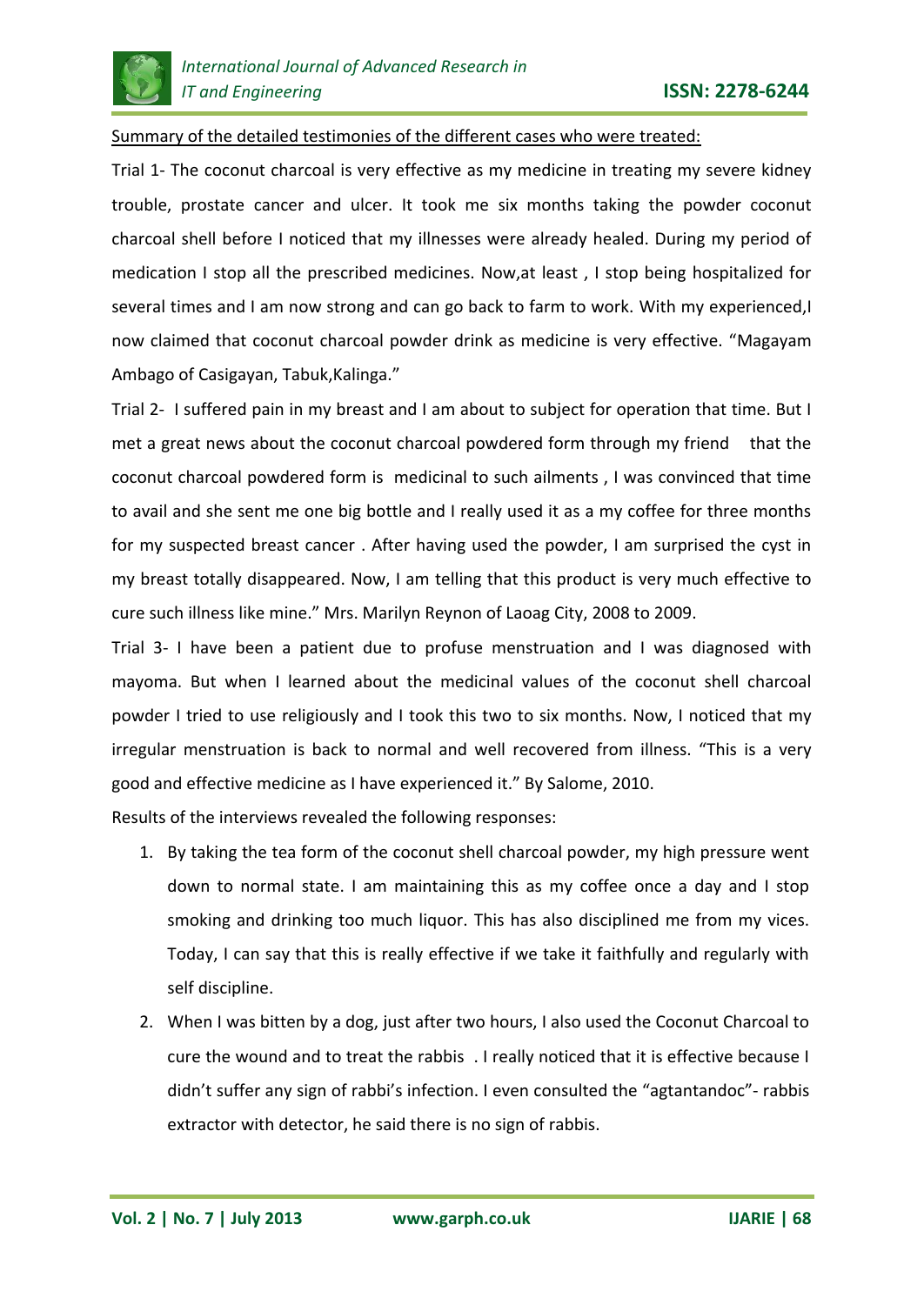

Summary of the detailed testimonies of the different cases who were treated:

Trial 1- The coconut charcoal is very effective as my medicine in treating my severe kidney trouble, prostate cancer and ulcer. It took me six months taking the powder coconut charcoal shell before I noticed that my illnesses were already healed. During my period of medication I stop all the prescribed medicines. Now,at least , I stop being hospitalized for several times and I am now strong and can go back to farm to work. With my experienced, I now claimed that coconut charcoal powder drink as medicine is very effective. "Magayam Ambago of Casigayan, Tabuk,Kalinga."

Trial 2- I suffered pain in my breast and I am about to subject for operation that time. But I met a great news about the coconut charcoal powdered form through my friend that the coconut charcoal powdered form is medicinal to such ailments , I was convinced that time to avail and she sent me one big bottle and I really used it as a my coffee for three months for my suspected breast cancer . After having used the powder, I am surprised the cyst in my breast totally disappeared. Now, I am telling that this product is very much effective to cure such illness like mine." Mrs. Marilyn Reynon of Laoag City, 2008 to 2009.

Trial 3- I have been a patient due to profuse menstruation and I was diagnosed with mayoma. But when I learned about the medicinal values of the coconut shell charcoal powder I tried to use religiously and I took this two to six months. Now, I noticed that my irregular menstruation is back to normal and well recovered from illness. "This is a very good and effective medicine as I have experienced it." By Salome, 2010.

Results of the interviews revealed the following responses:

- 1. By taking the tea form of the coconut shell charcoal powder, my high pressure went down to normal state. I am maintaining this as my coffee once a day and I stop smoking and drinking too much liquor. This has also disciplined me from my vices. Today, I can say that this is really effective if we take it faithfully and regularly with self discipline.
- 2. When I was bitten by a dog, just after two hours, I also used the Coconut Charcoal to cure the wound and to treat the rabbis . I really noticed that it is effective because I didn't suffer any sign of rabbi's infection. I even consulted the "agtantandoc"- rabbis extractor with detector, he said there is no sign of rabbis.